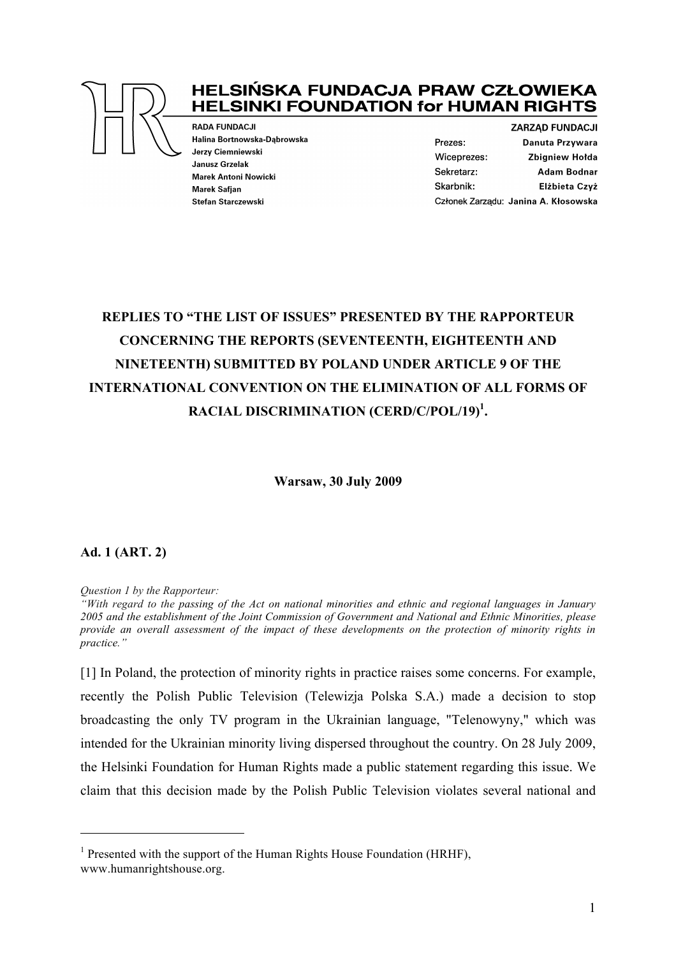

# **HELSIŃSKA FUNDACJA PRAW CZŁOWIEKA HELSINKI FOUNDATION for HUMAN RIGHTS**

**RADA FUNDACJI** Halina Bortnowska-Dąbrowska Jerzy Ciemniewski **Janusz Grzelak Marek Antoni Nowicki** Marek Safian Stefan Starczewski

**ZARZAD FUNDACJI** Prezes: Danuta Przywara Wiceprezes: **Zbigniew Holda** Sekretarz: **Adam Bodnar** Skarbnik: Elżbieta Czyż Członek Zarządu: Janina A. Kłosowska

# **REPLIES TO "THE LIST OF ISSUES" PRESENTED BY THE RAPPORTEUR CONCERNING THE REPORTS (SEVENTEENTH, EIGHTEENTH AND NINETEENTH) SUBMITTED BY POLAND UNDER ARTICLE 9 OF THE INTERNATIONAL CONVENTION ON THE ELIMINATION OF ALL FORMS OF RACIAL DISCRIMINATION (CERD/C/POL/19)1 .**

**Warsaw, 30 July 2009**

## **Ad. 1 (ART. 2)**

 $\overline{a}$ 

*Question 1 by the Rapporteur:*

*"With regard to the passing of the Act on national minorities and ethnic and regional languages in January 2005 and the establishment of the Joint Commission of Government and National and Ethnic Minorities, please provide an overall assessment of the impact of these developments on the protection of minority rights in practice."*

[1] In Poland, the protection of minority rights in practice raises some concerns. For example, recently the Polish Public Television (Telewizja Polska S.A.) made a decision to stop broadcasting the only TV program in the Ukrainian language, "Telenowyny," which was intended for the Ukrainian minority living dispersed throughout the country. On 28 July 2009, the Helsinki Foundation for Human Rights made a public statement regarding this issue. We claim that this decision made by the Polish Public Television violates several national and

<sup>&</sup>lt;sup>1</sup> Presented with the support of the Human Rights House Foundation (HRHF), www.humanrightshouse.org.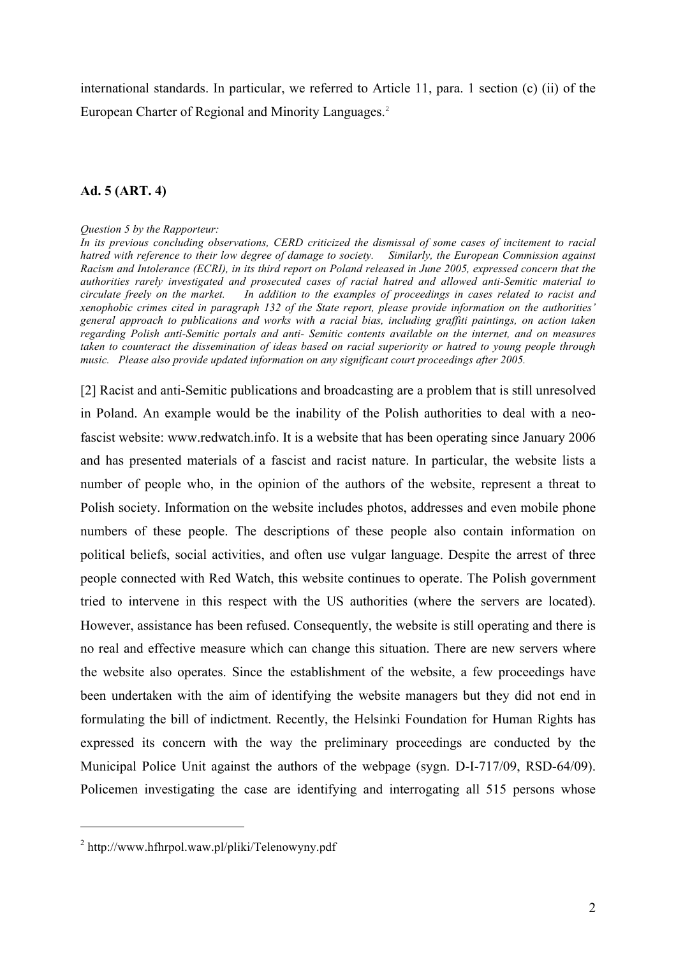international standards. In particular, we referred to Article 11, para. 1 section (c) (ii) of the European Charter of Regional and Minority Languages. 2

#### **Ad. 5 (ART. 4)**

#### *Question 5 by the Rapporteur:*

*In its previous concluding observations, CERD criticized the dismissal of some cases of incitement to racial hatred with reference to their low degree of damage to society. Similarly, the European Commission against Racism and Intolerance (ECRI), in its third report on Poland released in June 2005, expressed concern that the authorities rarely investigated and prosecuted cases of racial hatred and allowed anti-Semitic material to circulate freely on the market. In addition to the examples of proceedings in cases related to racist and xenophobic crimes cited in paragraph 132 of the State report, please provide information on the authorities' general approach to publications and works with a racial bias, including graffiti paintings, on action taken regarding Polish anti-Semitic portals and anti- Semitic contents available on the internet, and on measures taken to counteract the dissemination of ideas based on racial superiority or hatred to young people through music. Please also provide updated information on any significant court proceedings after 2005.*

[2] Racist and anti-Semitic publications and broadcasting are a problem that is still unresolved in Poland. An example would be the inability of the Polish authorities to deal with a neofascist website: www.redwatch.info. It is a website that has been operating since January 2006 and has presented materials of a fascist and racist nature. In particular, the website lists a number of people who, in the opinion of the authors of the website, represent a threat to Polish society. Information on the website includes photos, addresses and even mobile phone numbers of these people. The descriptions of these people also contain information on political beliefs, social activities, and often use vulgar language. Despite the arrest of three people connected with Red Watch, this website continues to operate. The Polish government tried to intervene in this respect with the US authorities (where the servers are located). However, assistance has been refused. Consequently, the website is still operating and there is no real and effective measure which can change this situation. There are new servers where the website also operates. Since the establishment of the website, a few proceedings have been undertaken with the aim of identifying the website managers but they did not end in formulating the bill of indictment. Recently, the Helsinki Foundation for Human Rights has expressed its concern with the way the preliminary proceedings are conducted by the Municipal Police Unit against the authors of the webpage (sygn. D-I-717/09, RSD-64/09). Policemen investigating the case are identifying and interrogating all 515 persons whose

<sup>2</sup> http://www.hfhrpol.waw.pl/pliki/Telenowyny.pdf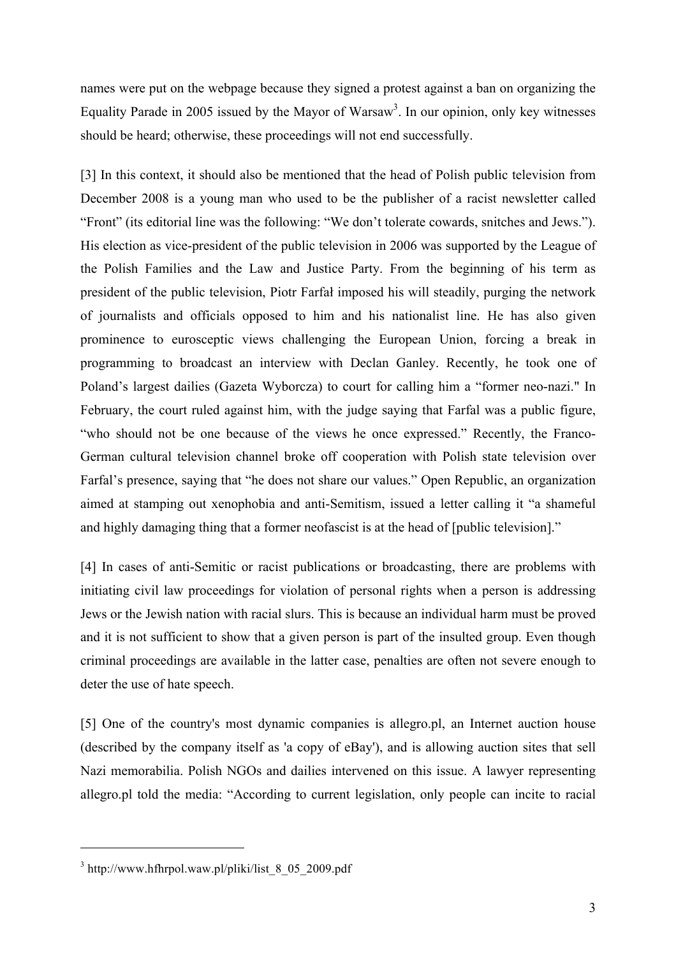names were put on the webpage because they signed a protest against a ban on organizing the Equality Parade in 2005 issued by the Mayor of Warsaw<sup>3</sup>. In our opinion, only key witnesses should be heard; otherwise, these proceedings will not end successfully.

[3] In this context, it should also be mentioned that the head of Polish public television from December 2008 is a young man who used to be the publisher of a racist newsletter called "Front" (its editorial line was the following: "We don't tolerate cowards, snitches and Jews."). His election as vice-president of the public television in 2006 was supported by the League of the Polish Families and the Law and Justice Party. From the beginning of his term as president of the public television, Piotr Farfał imposed his will steadily, purging the network of journalists and officials opposed to him and his nationalist line. He has also given prominence to eurosceptic views challenging the European Union, forcing a break in programming to broadcast an interview with Declan Ganley. Recently, he took one of Poland's largest dailies (Gazeta Wyborcza) to court for calling him a "former neo-nazi." In February, the court ruled against him, with the judge saying that Farfal was a public figure, "who should not be one because of the views he once expressed." Recently, the Franco-German cultural television channel broke off cooperation with Polish state television over Farfal's presence, saying that "he does not share our values." Open Republic, an organization aimed at stamping out xenophobia and anti-Semitism, issued a letter calling it "a shameful and highly damaging thing that a former neofascist is at the head of [public television]."

[4] In cases of anti-Semitic or racist publications or broadcasting, there are problems with initiating civil law proceedings for violation of personal rights when a person is addressing Jews or the Jewish nation with racial slurs. This is because an individual harm must be proved and it is not sufficient to show that a given person is part of the insulted group. Even though criminal proceedings are available in the latter case, penalties are often not severe enough to deter the use of hate speech.

[5] One of the country's most dynamic companies is allegro.pl, an Internet auction house (described by the company itself as 'a copy of eBay'), and is allowing auction sites that sell Nazi memorabilia. Polish NGOs and dailies intervened on this issue. A lawyer representing allegro.pl told the media: "According to current legislation, only people can incite to racial

 $3$  http://www.hfhrpol.waw.pl/pliki/list\_8\_05\_2009.pdf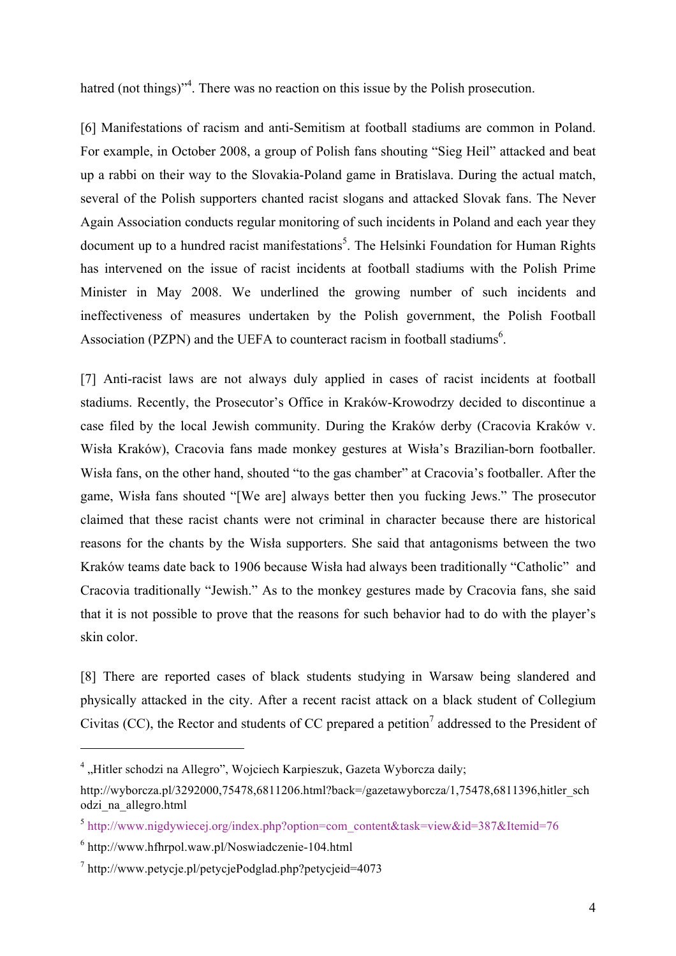hatred (not things)<sup>34</sup>. There was no reaction on this issue by the Polish prosecution.

[6] Manifestations of racism and anti-Semitism at football stadiums are common in Poland. For example, in October 2008, a group of Polish fans shouting "Sieg Heil" attacked and beat up a rabbi on their way to the Slovakia-Poland game in Bratislava. During the actual match, several of the Polish supporters chanted racist slogans and attacked Slovak fans. The Never Again Association conducts regular monitoring of such incidents in Poland and each year they document up to a hundred racist manifestations<sup>5</sup>. The Helsinki Foundation for Human Rights has intervened on the issue of racist incidents at football stadiums with the Polish Prime Minister in May 2008. We underlined the growing number of such incidents and ineffectiveness of measures undertaken by the Polish government, the Polish Football Association (PZPN) and the UEFA to counteract racism in football stadiums<sup>6</sup>.

[7] Anti-racist laws are not always duly applied in cases of racist incidents at football stadiums. Recently, the Prosecutor's Office in Kraków-Krowodrzy decided to discontinue a case filed by the local Jewish community. During the Kraków derby (Cracovia Kraków v. Wisła Kraków), Cracovia fans made monkey gestures at Wisła's Brazilian-born footballer. Wisła fans, on the other hand, shouted "to the gas chamber" at Cracovia's footballer. After the game, Wisła fans shouted "[We are] always better then you fucking Jews." The prosecutor claimed that these racist chants were not criminal in character because there are historical reasons for the chants by the Wisła supporters. She said that antagonisms between the two Kraków teams date back to 1906 because Wisła had always been traditionally "Catholic" and Cracovia traditionally "Jewish." As to the monkey gestures made by Cracovia fans, she said that it is not possible to prove that the reasons for such behavior had to do with the player's skin color.

[8] There are reported cases of black students studying in Warsaw being slandered and physically attacked in the city. After a recent racist attack on a black student of Collegium Civitas (CC), the Rector and students of CC prepared a petition<sup>7</sup> addressed to the President of

<sup>&</sup>lt;sup>4</sup> "Hitler schodzi na Allegro", Wojciech Karpieszuk, Gazeta Wyborcza daily;

http://wyborcza.pl/3292000,75478,6811206.html?back=/gazetawyborcza/1,75478,6811396,hitler\_sch odzi\_na\_allegro.html

 $5$  http://www.nigdywiecej.org/index.php?option=com\_content&task=view&id=387&Itemid=76

 $6$  http://www.hfhrpol.waw.pl/Noswiadczenie-104.html

<sup>7</sup> http://www.petycje.pl/petycjePodglad.php?petycjeid=4073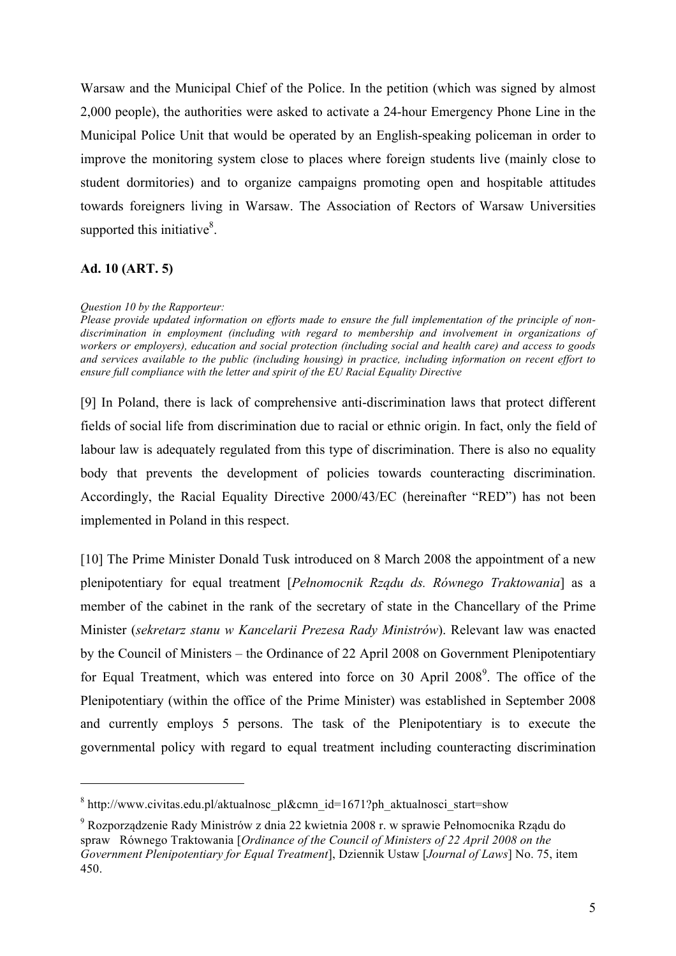Warsaw and the Municipal Chief of the Police. In the petition (which was signed by almost 2,000 people), the authorities were asked to activate a 24-hour Emergency Phone Line in the Municipal Police Unit that would be operated by an English-speaking policeman in order to improve the monitoring system close to places where foreign students live (mainly close to student dormitories) and to organize campaigns promoting open and hospitable attitudes towards foreigners living in Warsaw. The Association of Rectors of Warsaw Universities supported this initiative $8$ .

### **Ad. 10 (ART. 5)**

 $\overline{a}$ 

#### *Question 10 by the Rapporteur:*

*Please provide updated information on efforts made to ensure the full implementation of the principle of nondiscrimination in employment (including with regard to membership and involvement in organizations of workers or employers), education and social protection (including social and health care) and access to goods and services available to the public (including housing) in practice, including information on recent effort to ensure full compliance with the letter and spirit of the EU Racial Equality Directive*

[9] In Poland, there is lack of comprehensive anti-discrimination laws that protect different fields of social life from discrimination due to racial or ethnic origin. In fact, only the field of labour law is adequately regulated from this type of discrimination. There is also no equality body that prevents the development of policies towards counteracting discrimination. Accordingly, the Racial Equality Directive 2000/43/EC (hereinafter "RED") has not been implemented in Poland in this respect.

[10] The Prime Minister Donald Tusk introduced on 8 March 2008 the appointment of a new plenipotentiary for equal treatment [*Pełnomocnik Rządu ds. Równego Traktowania*] as a member of the cabinet in the rank of the secretary of state in the Chancellary of the Prime Minister (*sekretarz stanu w Kancelarii Prezesa Rady Ministrów*). Relevant law was enacted by the Council of Ministers – the Ordinance of 22 April 2008 on Government Plenipotentiary for Equal Treatment, which was entered into force on 30 April 2008<sup>9</sup>. The office of the Plenipotentiary (within the office of the Prime Minister) was established in September 2008 and currently employs 5 persons. The task of the Plenipotentiary is to execute the governmental policy with regard to equal treatment including counteracting discrimination

 $8$  http://www.civitas.edu.pl/aktualnosc\_pl&cmn\_id=1671?ph\_aktualnosci\_start=show

<sup>9</sup> Rozporządzenie Rady Ministrów z dnia 22 kwietnia 2008 r. w sprawie Pełnomocnika Rządu do spraw Równego Traktowania [*Ordinance of the Council of Ministers of 22 April 2008 on the Government Plenipotentiary for Equal Treatment*], Dziennik Ustaw [*Journal of Laws*] No. 75, item 450.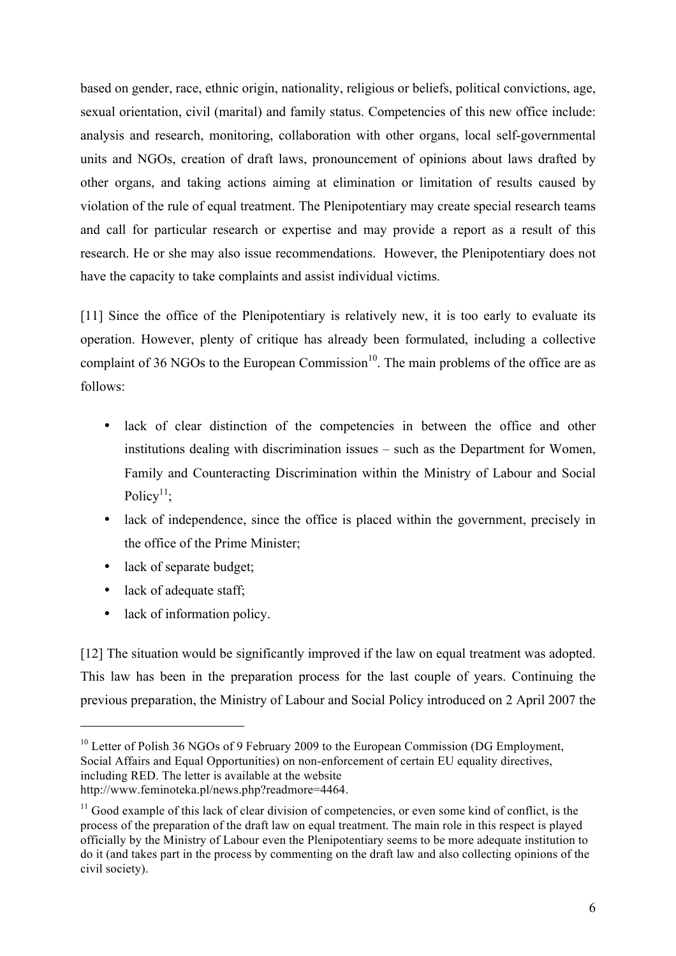based on gender, race, ethnic origin, nationality, religious or beliefs, political convictions, age, sexual orientation, civil (marital) and family status. Competencies of this new office include: analysis and research, monitoring, collaboration with other organs, local self-governmental units and NGOs, creation of draft laws, pronouncement of opinions about laws drafted by other organs, and taking actions aiming at elimination or limitation of results caused by violation of the rule of equal treatment. The Plenipotentiary may create special research teams and call for particular research or expertise and may provide a report as a result of this research. He or she may also issue recommendations. However, the Plenipotentiary does not have the capacity to take complaints and assist individual victims.

[11] Since the office of the Plenipotentiary is relatively new, it is too early to evaluate its operation. However, plenty of critique has already been formulated, including a collective complaint of 36 NGOs to the European Commission<sup>10</sup>. The main problems of the office are as follows:

- lack of clear distinction of the competencies in between the office and other institutions dealing with discrimination issues – such as the Department for Women, Family and Counteracting Discrimination within the Ministry of Labour and Social Policy<sup>11</sup>:
- lack of independence, since the office is placed within the government, precisely in the office of the Prime Minister;
- lack of separate budget;
- lack of adequate staff;

 $\overline{a}$ 

• lack of information policy.

[12] The situation would be significantly improved if the law on equal treatment was adopted. This law has been in the preparation process for the last couple of years. Continuing the previous preparation, the Ministry of Labour and Social Policy introduced on 2 April 2007 the

<sup>&</sup>lt;sup>10</sup> Letter of Polish 36 NGOs of 9 February 2009 to the European Commission (DG Employment, Social Affairs and Equal Opportunities) on non-enforcement of certain EU equality directives, including RED. The letter is available at the website http://www.feminoteka.pl/news.php?readmore=4464.

 $11$  Good example of this lack of clear division of competencies, or even some kind of conflict, is the process of the preparation of the draft law on equal treatment. The main role in this respect is played officially by the Ministry of Labour even the Plenipotentiary seems to be more adequate institution to do it (and takes part in the process by commenting on the draft law and also collecting opinions of the civil society).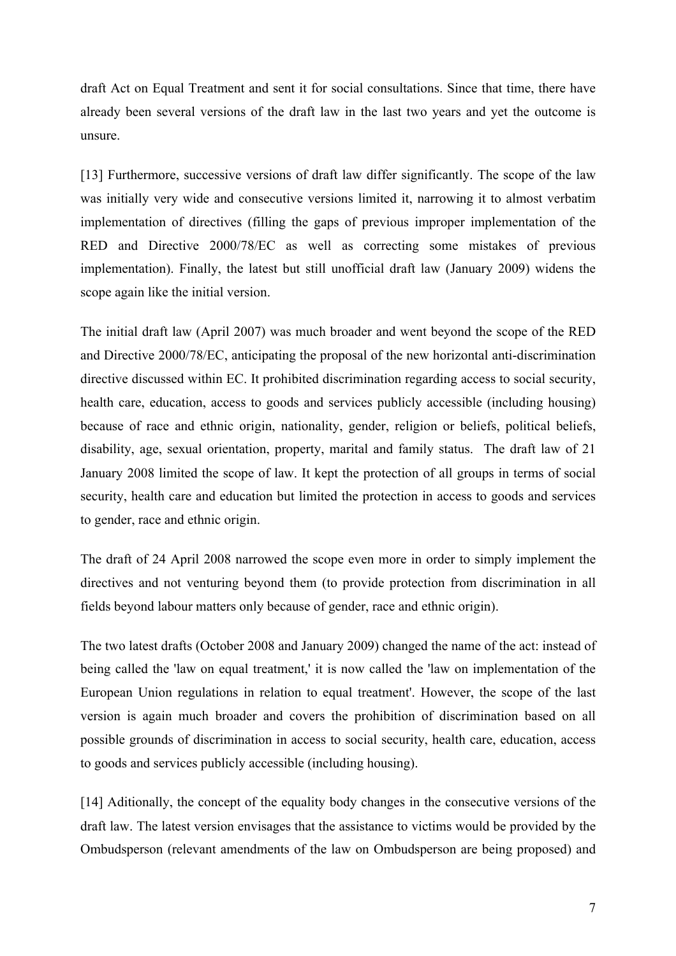draft Act on Equal Treatment and sent it for social consultations. Since that time, there have already been several versions of the draft law in the last two years and yet the outcome is unsure.

[13] Furthermore, successive versions of draft law differ significantly. The scope of the law was initially very wide and consecutive versions limited it, narrowing it to almost verbatim implementation of directives (filling the gaps of previous improper implementation of the RED and Directive 2000/78/EC as well as correcting some mistakes of previous implementation). Finally, the latest but still unofficial draft law (January 2009) widens the scope again like the initial version.

The initial draft law (April 2007) was much broader and went beyond the scope of the RED and Directive 2000/78/EC, anticipating the proposal of the new horizontal anti-discrimination directive discussed within EC. It prohibited discrimination regarding access to social security, health care, education, access to goods and services publicly accessible (including housing) because of race and ethnic origin, nationality, gender, religion or beliefs, political beliefs, disability, age, sexual orientation, property, marital and family status. The draft law of 21 January 2008 limited the scope of law. It kept the protection of all groups in terms of social security, health care and education but limited the protection in access to goods and services to gender, race and ethnic origin.

The draft of 24 April 2008 narrowed the scope even more in order to simply implement the directives and not venturing beyond them (to provide protection from discrimination in all fields beyond labour matters only because of gender, race and ethnic origin).

The two latest drafts (October 2008 and January 2009) changed the name of the act: instead of being called the 'law on equal treatment,' it is now called the 'law on implementation of the European Union regulations in relation to equal treatment'. However, the scope of the last version is again much broader and covers the prohibition of discrimination based on all possible grounds of discrimination in access to social security, health care, education, access to goods and services publicly accessible (including housing).

[14] Aditionally, the concept of the equality body changes in the consecutive versions of the draft law. The latest version envisages that the assistance to victims would be provided by the Ombudsperson (relevant amendments of the law on Ombudsperson are being proposed) and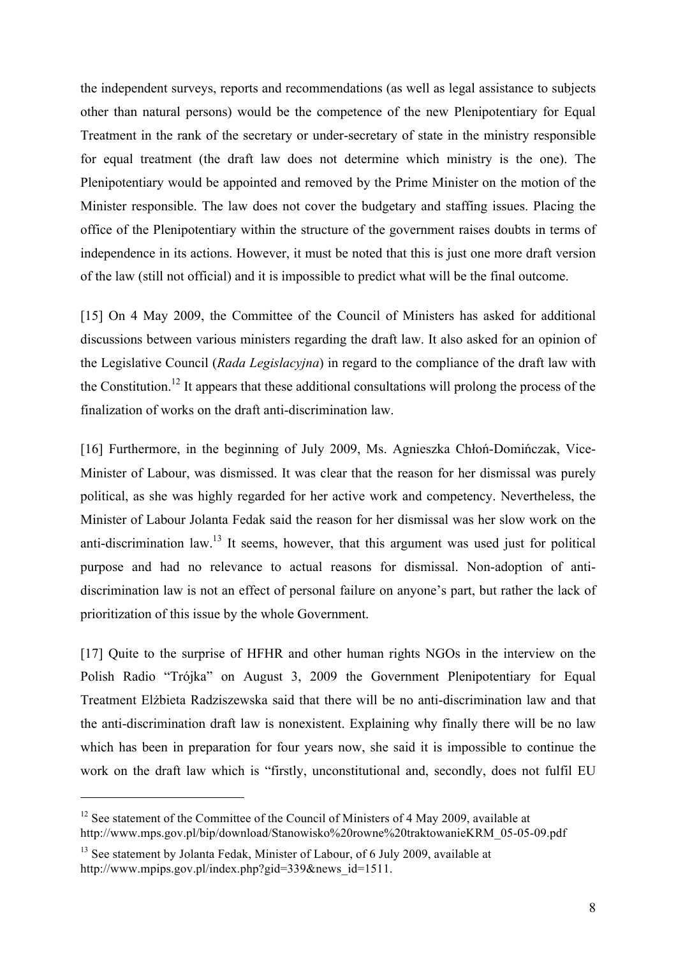the independent surveys, reports and recommendations (as well as legal assistance to subjects other than natural persons) would be the competence of the new Plenipotentiary for Equal Treatment in the rank of the secretary or under-secretary of state in the ministry responsible for equal treatment (the draft law does not determine which ministry is the one). The Plenipotentiary would be appointed and removed by the Prime Minister on the motion of the Minister responsible. The law does not cover the budgetary and staffing issues. Placing the office of the Plenipotentiary within the structure of the government raises doubts in terms of independence in its actions. However, it must be noted that this is just one more draft version of the law (still not official) and it is impossible to predict what will be the final outcome.

[15] On 4 May 2009, the Committee of the Council of Ministers has asked for additional discussions between various ministers regarding the draft law. It also asked for an opinion of the Legislative Council (*Rada Legislacyjna*) in regard to the compliance of the draft law with the Constitution.<sup>12</sup> It appears that these additional consultations will prolong the process of the finalization of works on the draft anti-discrimination law.

[16] Furthermore, in the beginning of July 2009, Ms. Agnieszka Chłoń-Domińczak, Vice-Minister of Labour, was dismissed. It was clear that the reason for her dismissal was purely political, as she was highly regarded for her active work and competency. Nevertheless, the Minister of Labour Jolanta Fedak said the reason for her dismissal was her slow work on the anti-discrimination law.<sup>13</sup> It seems, however, that this argument was used just for political purpose and had no relevance to actual reasons for dismissal. Non-adoption of antidiscrimination law is not an effect of personal failure on anyone's part, but rather the lack of prioritization of this issue by the whole Government.

[17] Quite to the surprise of HFHR and other human rights NGOs in the interview on the Polish Radio "Trójka" on August 3, 2009 the Government Plenipotentiary for Equal Treatment Elżbieta Radziszewska said that there will be no anti-discrimination law and that the anti-discrimination draft law is nonexistent. Explaining why finally there will be no law which has been in preparation for four years now, she said it is impossible to continue the work on the draft law which is "firstly, unconstitutional and, secondly, does not fulfil EU

 $12$  See statement of the Committee of the Council of Ministers of 4 May 2009, available at http://www.mps.gov.pl/bip/download/Stanowisko%20rowne%20traktowanieKRM\_05-05-09.pdf

<sup>&</sup>lt;sup>13</sup> See statement by Jolanta Fedak, Minister of Labour, of 6 July 2009, available at http://www.mpips.gov.pl/index.php?gid=339&news\_id=1511.